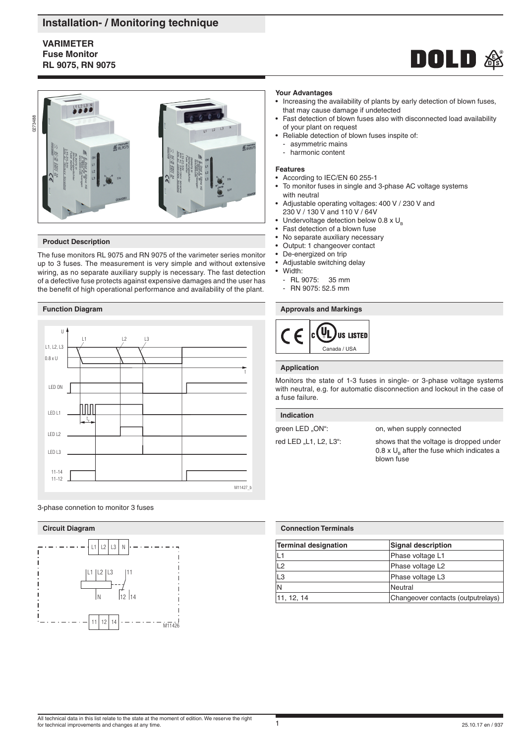# **Installation- / Monitoring technique**

# **VARIMETER Fuse Monitor RL 9075, RN 9075**





### **Product Description**

The fuse monitors RL 9075 and RN 9075 of the varimeter series monitor up to 3 fuses. The measurement is very simple and without extensive wiring, as no separate auxiliary supply is necessary. The fast detection of a defective fuse protects against expensive damages and the user has the benefit of high operational performance and availability of the plant.

# **Function Diagram**







### **Your Advantages**

- Increasing the availability of plants by early detection of blown fuses, that may cause damage if undetected
- Fast detection of blown fuses also with disconnected load availability of your plant on request
- Reliable detection of blown fuses inspite of:
- asymmetric mains
- harmonic content

## **Features**

- According to IEC/EN 60 255-1
- To monitor fuses in single and 3-phase AC voltage systems with neutral
- Adjustable operating voltages: 400 V / 230 V and 230 V / 130 V and 110 V / 64V
- Undervoltage detection below  $0.8 \times U_{\text{B}}$
- Fast detection of a blown fuse
- No separate auxiliary necessary<br>• Output: 1 changeover contact
- Output: 1 changeover contact
- De-energized on trip
- Adjustable switching delay
- Width:
- RL 9075: 35 mm
- RN 9075: 52.5 mm

**Approvals and Markings**



## **Application**

Monitors the state of 1-3 fuses in single- or 3-phase voltage systems with neutral, e.g. for automatic disconnection and lockout in the case of a fuse failure.

# green LED "ON": on, when supply connected **Indication**

red LED "L1, L2, L3": shows that the voltage is dropped under 0.8 x  $U_{\text{B}}$  after the fuse which indicates a blown fuse

| <b>Connection Terminals</b> |                                    |  |
|-----------------------------|------------------------------------|--|
| Terminal designation        | <b>Signal description</b>          |  |
| L1                          | Phase voltage L1                   |  |
| L2                          | Phase voltage L2                   |  |
| $\overline{L3}$             | Phase voltage L3                   |  |
| N                           | Neutral                            |  |
| 11, 12, 14                  | Changeover contacts (outputrelays) |  |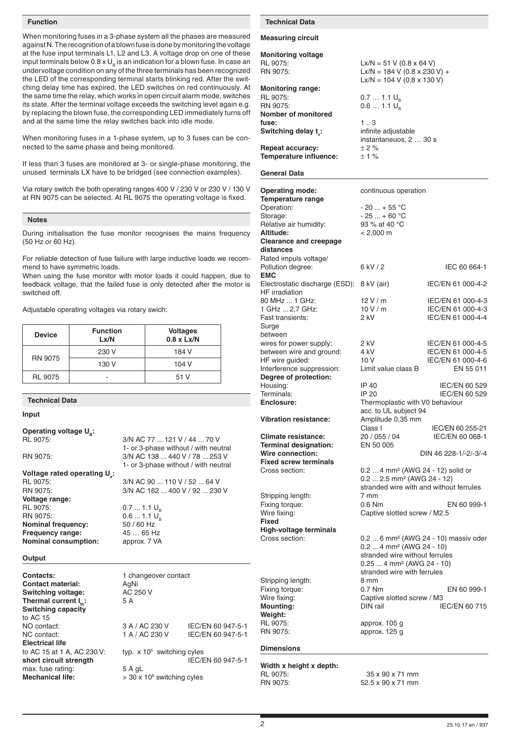#### **Function**

When monitoring fuses in a 3-phase system all the phases are measured against N. The recognition of a blown fuse is done by monitoring the voltage at the fuse input terminals L1, L2 and L3. A voltage drop on one of these input terminals below  $0.8 \times U_p$  is an indication for a blown fuse. In case an undervoltage condition on any of the three terminals has been recognized the LED of the corresponding terminal starts blinking red. After the switching delay time has expired, the LED switches on red continuously. At the same time the relay, which works in open circuit alarm mode, switches its state. After the terminal voltage exceeds the switching level again e.g. by replacing the blown fuse, the corresponding LED immediately turns off and at the same time the relay switches back into idle mode.

When monitoring fuses in a 1-phase system, up to 3 fuses can be connected to the same phase and being monitored.

If less than 3 fuses are monitored at 3- or single-phase monitoring, the unused terminals LX have to be bridged (see connection examples).

Via rotary switch the both operating ranges 400 V / 230 V or 230 V / 130 V at RN 9075 can be selected. At RL 9075 the operating voltage is fixed.

#### **Notes**

During initialisation the fuse monitor recognises the mains frequency (50 Hz or 60 Hz).

For reliable detection of fuse failure with large inductive loads we recommend to have symmetric loads.

When using the fuse monitor with motor loads it could happen, due to feedback voltage, that the failed fuse is only detected after the motor is switched off.

Adjustable operating voltages via rotary swich:

| <b>Device</b>  | <b>Function</b><br>Lx/N | <b>Voltages</b><br>$0.8 \times Lx/N$ |
|----------------|-------------------------|--------------------------------------|
| <b>RN 9075</b> | 230 V                   | 184 V                                |
|                | 130 V                   | 104 V                                |
| <b>RL 9075</b> |                         | 51 V                                 |

## **Technical Data**

**Electrical life**

**Mechanical life:** 

to AC 15 at 1 A, AC 230 V:

short circuit strength

**Input**

| Operating voltage U <sub>2</sub> :       |                                               |                   |  |
|------------------------------------------|-----------------------------------------------|-------------------|--|
| RL 9075:                                 | 3/N AC 77 121 V / 44 70 V                     |                   |  |
|                                          | 1- or 3-phase without / with neutral          |                   |  |
| RN 9075:                                 | 3/N AC 138  440 V / 78  253 V                 |                   |  |
|                                          | 1- or 3-phase without / with neutral          |                   |  |
| Voltage rated operating U <sub>s</sub> : |                                               |                   |  |
| RL 9075:                                 | 3/N AC 90  110 V / 52  64 V                   |                   |  |
| RN 9075:                                 | 3/N AC 162  400 V / 92  230 V                 |                   |  |
| Voltage range:                           |                                               |                   |  |
| RL 9075:                                 | $0.71.1 U_{\circ}$                            |                   |  |
| RN 9075:                                 | $0.61.1 U_{\circ}$<br>50 / 60 Hz<br>45  65 Hz |                   |  |
| <b>Nominal frequency:</b>                |                                               |                   |  |
| Frequency range:                         |                                               |                   |  |
| <b>Nominal consumption:</b>              | approx. 7 VA                                  |                   |  |
| Output                                   |                                               |                   |  |
| Contacts:                                | 1 changeover contact                          |                   |  |
| <b>Contact material:</b>                 | AgNi                                          |                   |  |
| <b>Switching voltage:</b>                | AC 250 V                                      |                   |  |
| Thermal current $I_{\omega}$ :           | 5 A                                           |                   |  |
| <b>Switching capacity</b>                |                                               |                   |  |
| to AC 15                                 |                                               |                   |  |
| NO contact:                              | 3 A / AC 230 V                                | IEC/EN 60 947-5-1 |  |
| NC contact:                              | 1 A / AC 230 V                                | IEC/EN 60 947-5-1 |  |

typ.  $x$  10<sup>5</sup> switching cyles<br>IEC/EN 60 947-5-1 max. fuse rating: 5 A gL  $>$  30 x 10 $\textdegree$  switching cyles

#### **Technical Data**

## **Measuring circuit**

**Monitoring voltage** RL 9075: Lx/N = 51 V (0.8 x 64 V)<br>RN 9075: Lx/N = 184 V (0.8 x 230 **Monitoring range:**

RL 9075:  $0.7 ... 1.1 U_B$ <br>RN 9075: 0.6 1.1 U **Nomber of monitored fuse:** 1 ... 3 **Switching delay t<sub>v</sub>:** 

## **Repeat accuracy:**  $\pm 2\%$ **Temperature influence:** ± 1 %

#### **General Data**

| <b>Operating mode:</b><br><b>Temperature range</b> | continuous operation                             |                       |
|----------------------------------------------------|--------------------------------------------------|-----------------------|
| Operation:                                         | $-20+55$ °C                                      |                       |
| Storage:                                           | $-25+60 °C$                                      |                       |
| Relative air humidity:                             | 93 % at 40 °C                                    |                       |
| Altitude:                                          | $< 2,000 \text{ m}$                              |                       |
| <b>Clearance and creepage</b>                      |                                                  |                       |
| distances                                          |                                                  |                       |
| Rated impuls voltage/                              |                                                  |                       |
| Pollution degree:                                  | 6 kV / 2                                         | IEC 60 664-1          |
| <b>EMC</b>                                         |                                                  |                       |
| Electrostatic discharge (ESD): 8 kV (air)          |                                                  | IEC/EN 61 000-4-2     |
| <b>HF</b> irradiation                              |                                                  |                       |
| 80 MHz  1 GHz:                                     | 12V/m                                            | IEC/EN 61 000-4-3     |
| 1 GHz  2,7 GHz:                                    | 10V/m                                            | IEC/EN 61 000-4-3     |
| Fast transients:                                   | 2 kV                                             | IEC/EN 61 000-4-4     |
| Surge                                              |                                                  |                       |
| between                                            |                                                  |                       |
| wires for power supply:                            | 2 kV                                             | IEC/EN 61 000-4-5     |
| between wire and ground:                           | 4 kV                                             | IEC/EN 61 000-4-5     |
| HF wire guided:                                    | 10 V                                             | IEC/EN 61 000-4-6     |
| Interference suppression:                          | Limit value class B                              | EN 55 011             |
| Degree of protection:                              |                                                  |                       |
| Housing:                                           | IP 40                                            | IEC/EN 60 529         |
| Terminals:                                         | IP 20                                            | IEC/EN 60 529         |
| Enclosure:                                         | Thermoplastic with V0 behaviour                  |                       |
|                                                    | acc. to UL subject 94                            |                       |
| <b>Vibration resistance:</b>                       | Amplitude 0,35 mm                                |                       |
|                                                    | Class I                                          | IEC/EN 60 255-21      |
| <b>Climate resistance:</b>                         | 20 / 055 / 04                                    | IEC/EN 60 068-1       |
| <b>Terminal designation:</b>                       | EN 50 005                                        |                       |
| Wire connection:<br><b>Fixed screw terminals</b>   |                                                  | DIN 46 228-1/-2/-3/-4 |
| Cross section:                                     | 0.2  4 mm <sup>2</sup> (AWG 24 - 12) solid or    |                       |
|                                                    | $0.22.5$ mm <sup>2</sup> (AWG 24 - 12)           |                       |
|                                                    | stranded wire with and without ferrules          |                       |
| Stripping length:                                  | 7 mm                                             |                       |
| Fixing torque:                                     | $0.6$ Nm                                         | EN 60 999-1           |
| Wire fixing:                                       | Captive slotted screw / M2.5                     |                       |
| Fixed                                              |                                                  |                       |
| <b>High-voltage terminals</b>                      |                                                  |                       |
| Cross section:                                     | 0.2  6 mm <sup>2</sup> (AWG 24 - 10) massiv oder |                       |
|                                                    | $0.24$ mm <sup>2</sup> (AWG 24 - 10)             |                       |
|                                                    | stranded wire without ferrules                   |                       |
|                                                    | $0.254$ mm <sup>2</sup> (AWG 24 - 10)            |                       |
|                                                    | stranded wire with ferrules                      |                       |
| Stripping length:                                  | 8 mm                                             |                       |
| Fixing torque:                                     | 0.7 Nm                                           | EN 60 999-1           |
| Wire fixing:                                       | Captive slotted screw / M3                       |                       |
| <b>Mounting:</b>                                   | DIN rail                                         | IEC/EN 60 715         |
| Weight:                                            |                                                  |                       |
| RL 9075:                                           | approx. 105 g                                    |                       |
| RN 9075:                                           | approx. 125 g                                    |                       |
|                                                    |                                                  |                       |
| <b>Dimensions</b>                                  |                                                  |                       |
|                                                    |                                                  |                       |

 $Lx/N = 184$  V (0.8 x 230 V) +  $Lx/N = 104 V (0.8 x 130 V)$ 

 $0.6... 1.1 U_{p}$ 

**:** infinite adjustable instantaneuos, 2 … 30 s

**Width x height x depth:** RL 9075: 35 x 90 x 71 mm<br>RN 9075: 52.5 x 90 x 71 mm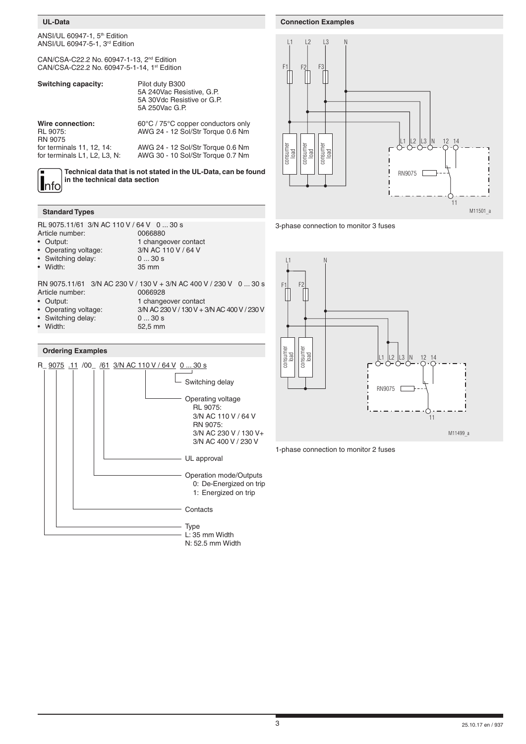## **UL-Data**

ANSI/UL 60947-1,  $5<sup>th</sup>$  Edition ANSI/UL 60947-5-1, 3rd Edition

CAN/CSA-C22.2 No. 60947-1-13, 2nd Edition CAN/CSA-C22.2 No. 60947-5-1-14, 1st Edition

| <b>Switching capacity:</b>                                | Pilot duty B300<br>5A 240Vac Resistive, G.P.<br>5A 30Vdc Resistive or G.P.<br>5A 250Vac G.P. |
|-----------------------------------------------------------|----------------------------------------------------------------------------------------------|
| Wire connection:<br><b>RL 9075:</b><br><b>RN 9075</b>     | 60°C / 75°C copper conductors only<br>AWG 24 - 12 Sol/Str Torque 0.6 Nm                      |
| for terminals 11, 12, 14:<br>for terminals L1, L2, L3, N: | AWG 24 - 12 Sol/Str Torque 0.6 Nm<br>AWG 30 - 10 Sol/Str Torque 0.7 Nm                       |

**Technical data that is not stated in the UL-Data, can be found in the technical data section**

## **Standard Types**

RL 9075.11/61 3/N AC 110 V / 64 V 0 ... 30 s<br>Article number: 0066880

Article number:

**I**nfo

- Output: 1 changeover contact
- -
- Width:
- Operating voltage:  $3/N$  AC 110 V / 64 V<br>Switching delay: 0 ... 30 s For Switching delay: 0 ... 30<br>Width: 35 mm

RN 9075.11/61 3/N AC 230 V / 130 V + 3/N AC 400 V / 230 V 0 ... 30 s Article number: 0066928<br>
• Output: 1 change

- 
- -

1 changeover contact

- Operating voltage: 3/N AC 230 V / 130 V + 3/N AC 400 V / 230 V
- Switching delay: • Width: 52,5 mm
- 

## **Ordering Examples**



 $L2 \t L3$ N  $F1$   $F2$   $F3$  $\mathbb{L}^2$   $\mathbb{L}^3$   $\mathbb{N}$  12 14<br> $\mathbb{L}^2$   $\mathbb{L}^3$   $\mathbb{L}^1$  12 14 consumer consumer consumer consumer<br>Ioad consume consum load load RN9075 <sub>D</sub> 11 M11501\_a







**Connection Examples**